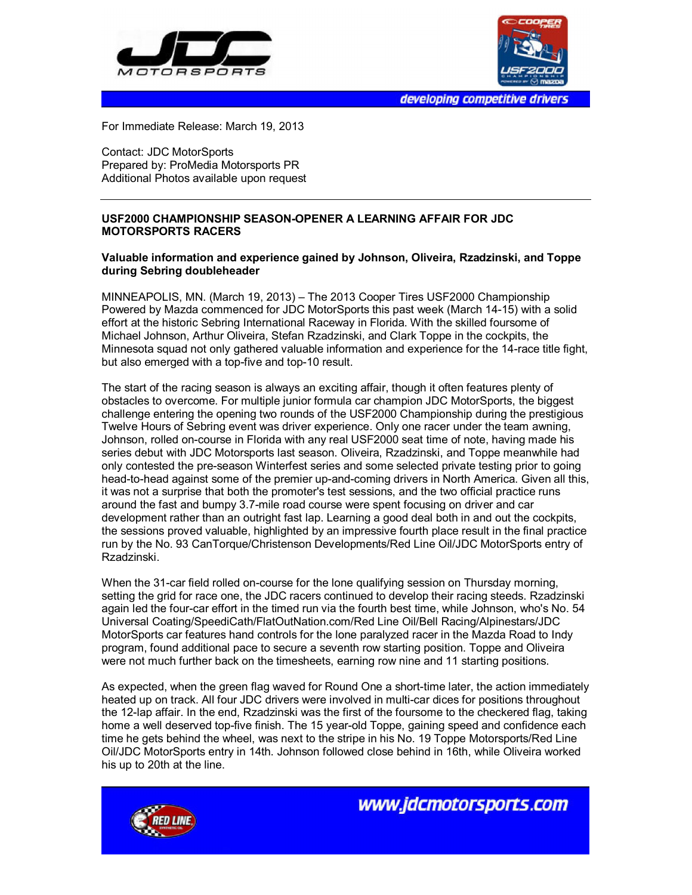



developing competitive drivers

For Immediate Release: March 19, 2013

Contact: JDC MotorSports Prepared by: ProMedia Motorsports PR Additional Photos available upon request

## **USF2000 CHAMPIONSHIP SEASON-OPENER A LEARNING AFFAIR FOR JDC MOTORSPORTS RACERS**

## **Valuable information and experience gained by Johnson, Oliveira, Rzadzinski, and Toppe during Sebring doubleheader**

MINNEAPOLIS, MN. (March 19, 2013) – The 2013 Cooper Tires USF2000 Championship Powered by Mazda commenced for JDC MotorSports this past week (March 14-15) with a solid effort at the historic Sebring International Raceway in Florida. With the skilled foursome of Michael Johnson, Arthur Oliveira, Stefan Rzadzinski, and Clark Toppe in the cockpits, the Minnesota squad not only gathered valuable information and experience for the 14-race title fight, but also emerged with a top-five and top-10 result.

The start of the racing season is always an exciting affair, though it often features plenty of obstacles to overcome. For multiple junior formula car champion JDC MotorSports, the biggest challenge entering the opening two rounds of the USF2000 Championship during the prestigious Twelve Hours of Sebring event was driver experience. Only one racer under the team awning, Johnson, rolled on-course in Florida with any real USF2000 seat time of note, having made his series debut with JDC Motorsports last season. Oliveira, Rzadzinski, and Toppe meanwhile had only contested the pre-season Winterfest series and some selected private testing prior to going head-to-head against some of the premier up-and-coming drivers in North America. Given all this, it was not a surprise that both the promoter's test sessions, and the two official practice runs around the fast and bumpy 3.7-mile road course were spent focusing on driver and car development rather than an outright fast lap. Learning a good deal both in and out the cockpits, the sessions proved valuable, highlighted by an impressive fourth place result in the final practice run by the No. 93 CanTorque/Christenson Developments/Red Line Oil/JDC MotorSports entry of Rzadzinski.

When the 31-car field rolled on-course for the lone qualifying session on Thursday morning, setting the grid for race one, the JDC racers continued to develop their racing steeds. Rzadzinski again led the four-car effort in the timed run via the fourth best time, while Johnson, who's No. 54 Universal Coating/SpeediCath/FlatOutNation.com/Red Line Oil/Bell Racing/Alpinestars/JDC MotorSports car features hand controls for the lone paralyzed racer in the Mazda Road to Indy program, found additional pace to secure a seventh row starting position. Toppe and Oliveira were not much further back on the timesheets, earning row nine and 11 starting positions.

As expected, when the green flag waved for Round One a short-time later, the action immediately heated up on track. All four JDC drivers were involved in multi-car dices for positions throughout the 12-lap affair. In the end, Rzadzinski was the first of the foursome to the checkered flag, taking home a well deserved top-five finish. The 15 year-old Toppe, gaining speed and confidence each time he gets behind the wheel, was next to the stripe in his No. 19 Toppe Motorsports/Red Line Oil/JDC MotorSports entry in 14th. Johnson followed close behind in 16th, while Oliveira worked his up to 20th at the line.



www.jdcmotorsports.com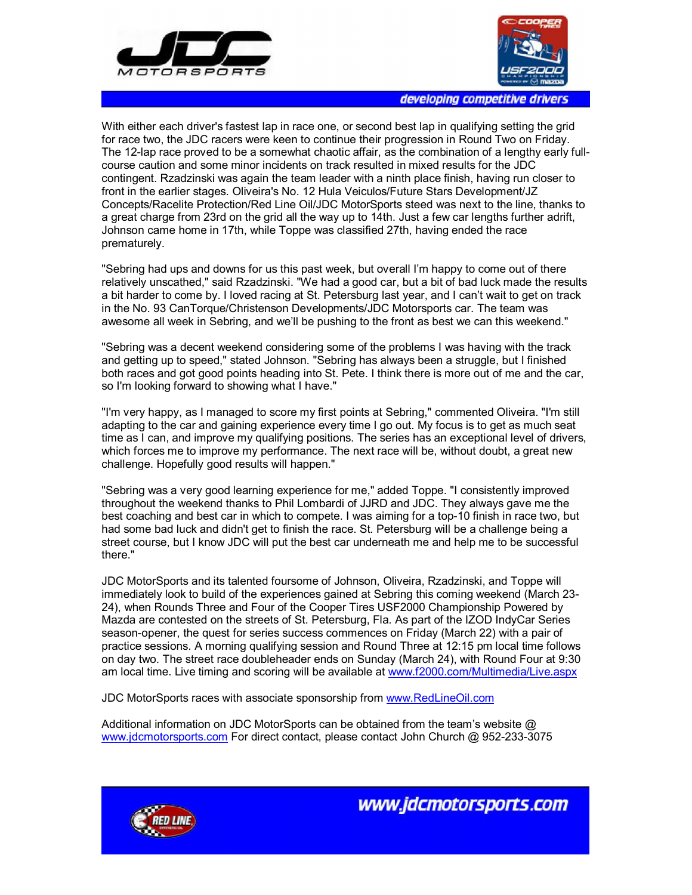



developing competitive drivers

With either each driver's fastest lap in race one, or second best lap in qualifying setting the grid for race two, the JDC racers were keen to continue their progression in Round Two on Friday. The 12-lap race proved to be a somewhat chaotic affair, as the combination of a lengthy early fullcourse caution and some minor incidents on track resulted in mixed results for the JDC contingent. Rzadzinski was again the team leader with a ninth place finish, having run closer to front in the earlier stages. Oliveira's No. 12 Hula Veiculos/Future Stars Development/JZ Concepts/Racelite Protection/Red Line Oil/JDC MotorSports steed was next to the line, thanks to a great charge from 23rd on the grid all the way up to 14th. Just a few car lengths further adrift, Johnson came home in 17th, while Toppe was classified 27th, having ended the race prematurely.

"Sebring had ups and downs for us this past week, but overall I'm happy to come out of there relatively unscathed," said Rzadzinski. "We had a good car, but a bit of bad luck made the results a bit harder to come by. I loved racing at St. Petersburg last year, and I can't wait to get on track in the No. 93 CanTorque/Christenson Developments/JDC Motorsports car. The team was awesome all week in Sebring, and we'll be pushing to the front as best we can this weekend."

"Sebring was a decent weekend considering some of the problems I was having with the track and getting up to speed," stated Johnson. "Sebring has always been a struggle, but I finished both races and got good points heading into St. Pete. I think there is more out of me and the car, so I'm looking forward to showing what I have."

"I'm very happy, as I managed to score my first points at Sebring," commented Oliveira. "I'm still adapting to the car and gaining experience every time I go out. My focus is to get as much seat time as I can, and improve my qualifying positions. The series has an exceptional level of drivers, which forces me to improve my performance. The next race will be, without doubt, a great new challenge. Hopefully good results will happen."

"Sebring was a very good learning experience for me," added Toppe. "I consistently improved throughout the weekend thanks to Phil Lombardi of JJRD and JDC. They always gave me the best coaching and best car in which to compete. I was aiming for a top-10 finish in race two, but had some bad luck and didn't get to finish the race. St. Petersburg will be a challenge being a street course, but I know JDC will put the best car underneath me and help me to be successful there."

JDC MotorSports and its talented foursome of Johnson, Oliveira, Rzadzinski, and Toppe will immediately look to build of the experiences gained at Sebring this coming weekend (March 23- 24), when Rounds Three and Four of the Cooper Tires USF2000 Championship Powered by Mazda are contested on the streets of St. Petersburg, Fla. As part of the IZOD IndyCar Series season-opener, the quest for series success commences on Friday (March 22) with a pair of practice sessions. A morning qualifying session and Round Three at 12:15 pm local time follows on day two. The street race doubleheader ends on Sunday (March 24), with Round Four at 9:30 am local time. Live timing and scoring will be available at www.f2000.com/Multimedia/Live.aspx

JDC MotorSports races with associate sponsorship from www.RedLineOil.com

Additional information on JDC MotorSports can be obtained from the team's website @ www.jdcmotorsports.com For direct contact, please contact John Church @ 952-233-3075



www.idcmotorsports.com